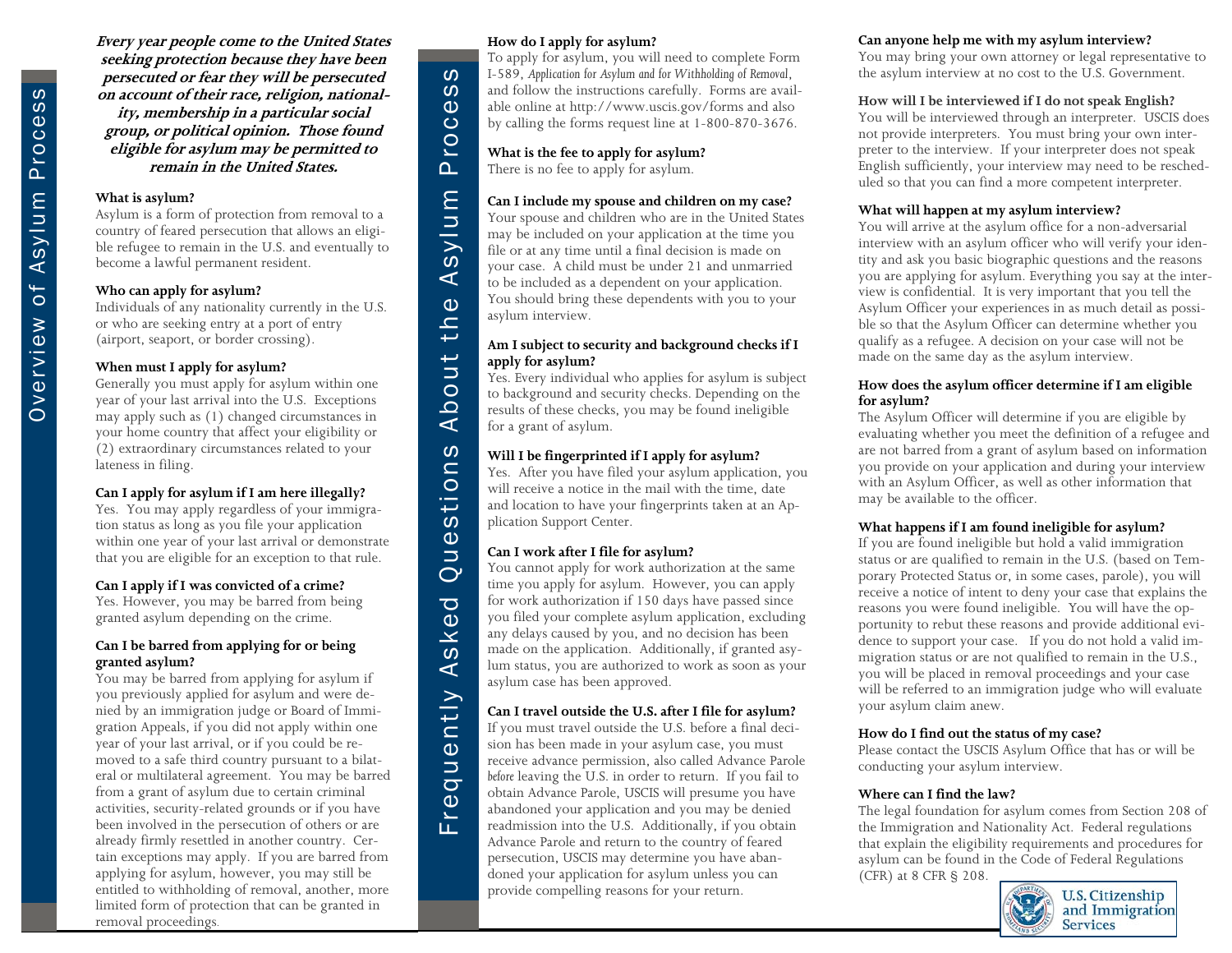**Every year people come to the United States seeking protection because they have been persecuted or fear they will be persecuted on account of their race, religion, nationality, membership in a particular social group, or political opinion. Those found eligible for asylum may be permitted to remain in the United States.** 

#### **What is asylum?**

Asylum is a form of protection from removal to a country of feared persecution that allows an eligible refugee to remain in the U.S. and eventually to become a lawful permanent resident.

#### **Who can apply for asylum?**

Individuals of any nationality currently in the U.S. or who are seeking entry at a port of entry (airport, seaport, or border crossing).

#### **When must I apply for asylum?**

Generally you must apply for asylum within one year of your last arrival into the U.S. Exceptions may apply such as (1) changed circumstances in your home country that affect your eligibility or (2) extraordinary circumstances related to your lateness in filing.

#### **Can I apply for asylum if I am here illegally?**

Yes. You may apply regardless of your immigration status as long as you file your application within one year of your last arrival or demonstrate that you are eligible for an exception to that rule.

#### **Can I apply if I was convicted of a crime?**

Yes. However, you may be barred from being granted asylum depending on the crime.

#### **Can I be barred from applying for or being granted asylum?**

You may be barred from applying for asylum if you previously applied for asylum and were denied by an immigration judge or Board of Immigration Appeals, if you did not apply within one year of your last arrival, or if you could be removed to a safe third country pursuant to a bilateral or multilateral agreement. You may be barred from a grant of asylum due to certain criminal activities, security-related grounds or if you have been involved in the persecution of others or are already firmly resettled in another country. Certain exceptions may apply. If you are barred from applying for asylum, however, you may still be entitled to withholding of removal, another, more limited form of protection that can be granted in removal proceedings.

#### **How do I apply for asylum?**

To apply for asylum, you will need to complete Form I-589, *Application for Asylum and for Withholding of Removal*, and follow the instructions carefully. Forms are available online at http://www.uscis.gov/forms and also by calling the forms request line at 1-800-870-3676.

### **What is the fee to apply for asylum?**

There is no fee to apply for asylum.

#### **Can I include my spouse and children on my case?**

Your spouse and children who are in the United States may be included on your application at the time you file or at any time until a final decision is made on your case. A child must be under 21 and unmarried to be included as a dependent on your application. You should bring these dependents with you to your asylum interview.

#### **Am I subject to security and background checks if I apply for asylum?**

Yes. Every individual who applies for asylum is subject to background and security checks. Depending on the results of these checks, you may be found ineligible for a grant of asylum.

#### **Will I be fingerprinted if I apply for asylum?**

Yes. After you have filed your asylum application, you will receive a notice in the mail with the time, date and location to have your fingerprints taken at an Application Support Center.

#### **Can I work after I file for asylum?**

Frequently Asked Questions About the Asylum Process

sti  $\ddot{\mathbf{0}}$  $\overline{\phantom{0}}$  $\overline{C}$  $\overline{\sigma}$  $\omega$  $\overline{\mathbf{X}}$  $\omega$  $\prec$ 

ntly

 $\mathbf{\Phi}$  $\bar{z}$  $\bar{\sigma}$  $\overline{\omega}$  $\tilde{E}$ 

ທ  $\omega$ 

 $\Phi$  $\overline{O}$  $\overline{O}$ ൨

 $\Xi$ 

anlys

 $\prec$  $\mathbf{\Phi}$  $\mathbf{r}$ ₽  $U$ t  $\circ$  $\Omega$  $\mathbf{I}$ ທ  $\overline{a}$ 

> You cannot apply for work authorization at the same time you apply for asylum. However, you can apply for work authorization if 150 days have passed since you filed your complete asylum application, excluding any delays caused by you, and no decision has been made on the application. Additionally, if granted asylum status, you are authorized to work as soon as your asylum case has been approved.

#### **Can I travel outside the U.S. after I file for asylum?**

If you must travel outside the U.S. before a final decision has been made in your asylum case, you must receive advance permission, also called Advance Parole *before* leaving the U.S. in order to return. If you fail to obtain Advance Parole, USCIS will presume you have abandoned your application and you may be denied readmission into the U.S. Additionally, if you obtain Advance Parole and return to the country of feared persecution, USCIS may determine you have abandoned your application for asylum unless you can provide compelling reasons for your return.

#### **Can anyone help me with my asylum interview?**

You may bring your own attorney or legal representative to the asylum interview at no cost to the U.S. Government.

#### **How will I be interviewed if I do not speak English?**

You will be interviewed through an interpreter. USCIS does not provide interpreters. You must bring your own interpreter to the interview. If your interpreter does not speak English sufficiently, your interview may need to be rescheduled so that you can find a more competent interpreter.

#### **What will happen at my asylum interview?**

You will arrive at the asylum office for a non-adversarial interview with an asylum officer who will verify your identity and ask you basic biographic questions and the reasons you are applying for asylum. Everything you say at the interview is confidential. It is very important that you tell the Asylum Officer your experiences in as much detail as possible so that the Asylum Officer can determine whether you qualify as a refugee. A decision on your case will not be made on the same day as the asylum interview.

#### **How does the asylum officer determine if I am eligible for asylum?**

The Asylum Officer will determine if you are eligible by evaluating whether you meet the definition of a refugee and are not barred from a grant of asylum based on information you provide on your application and during your interview with an Asylum Officer, as well as other information that may be available to the officer.

#### **What happens if I am found ineligible for asylum?**

If you are found ineligible but hold a valid immigration status or are qualified to remain in the U.S. (based on Temporary Protected Status or, in some cases, parole), you will receive a notice of intent to deny your case that explains the reasons you were found ineligible. You will have the opportunity to rebut these reasons and provide additional evidence to support your case. If you do not hold a valid immigration status or are not qualified to remain in the U.S., you will be placed in removal proceedings and your case will be referred to an immigration judge who will evaluate your asylum claim anew.

#### **How do I find out the status of my case?**

Please contact the USCIS Asylum Office that has or will be conducting your asylum interview.

#### **Where can I find the law?**

The legal foundation for asylum comes from Section 208 of the Immigration and Nationality Act. Federal regulations that explain the eligibility requirements and procedures for asylum can be found in the Code of Federal Regulations (CFR) at 8 CFR § 208.

**U.S. Citizenship** and Immigration **Services**